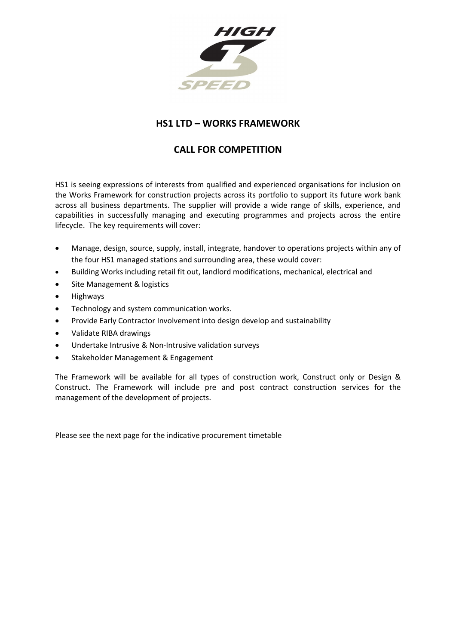

## **HS1 LTD – WORKS FRAMEWORK**

## **CALL FOR COMPETITION**

HS1 is seeing expressions of interests from qualified and experienced organisations for inclusion on the Works Framework for construction projects across its portfolio to support its future work bank across all business departments. The supplier will provide a wide range of skills, experience, and capabilities in successfully managing and executing programmes and projects across the entire lifecycle. The key requirements will cover:

- Manage, design, source, supply, install, integrate, handover to operations projects within any of the four HS1 managed stations and surrounding area, these would cover:
- Building Works including retail fit out, landlord modifications, mechanical, electrical and
- Site Management & logistics
- Highways
- Technology and system communication works.
- Provide Early Contractor Involvement into design develop and sustainability
- Validate RIBA drawings
- Undertake Intrusive & Non-Intrusive validation surveys
- Stakeholder Management & Engagement

The Framework will be available for all types of construction work, Construct only or Design & Construct. The Framework will include pre and post contract construction services for the management of the development of projects.

Please see the next page for the indicative procurement timetable